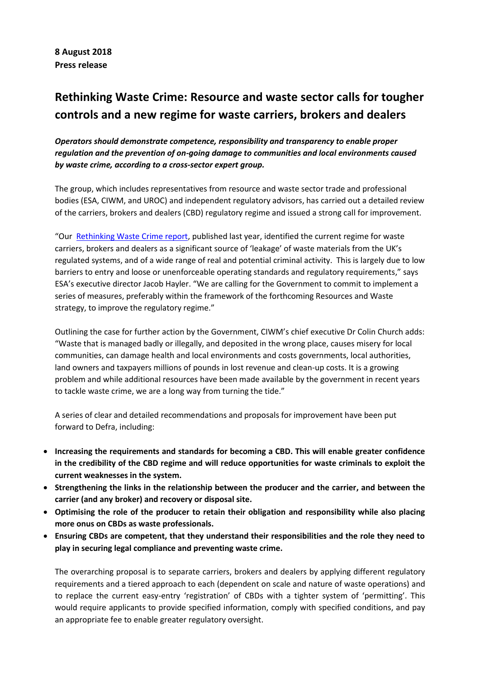# **Rethinking Waste Crime: Resource and waste sector calls for tougher controls and a new regime for waste carriers, brokers and dealers**

*Operators should demonstrate competence, responsibility and transparency to enable proper regulation and the prevention of on-going damage to communities and local environments caused by waste crime, according to a cross-sector expert group.*

The group, which includes representatives from resource and waste sector trade and professional bodies (ESA, CIWM, and UROC) and independent regulatory advisors, has carried out a detailed review of the carriers, brokers and dealers (CBD) regulatory regime and issued a strong call for improvement.

"Our [Rethinking Waste Crime report,](http://www.esauk.org/esa_reports/20170502_Rethinking_Waste_Crime.pdf) published last year, identified the current regime for waste carriers, brokers and dealers as a significant source of 'leakage' of waste materials from the UK's regulated systems, and of a wide range of real and potential criminal activity. This is largely due to low barriers to entry and loose or unenforceable operating standards and regulatory requirements," says ESA's executive director Jacob Hayler. "We are calling for the Government to commit to implement a series of measures, preferably within the framework of the forthcoming Resources and Waste strategy, to improve the regulatory regime."

Outlining the case for further action by the Government, CIWM's chief executive Dr Colin Church adds: "Waste that is managed badly or illegally, and deposited in the wrong place, causes misery for local communities, can damage health and local environments and costs governments, local authorities, land owners and taxpayers millions of pounds in lost revenue and clean-up costs. It is a growing problem and while additional resources have been made available by the government in recent years to tackle waste crime, we are a long way from turning the tide."

A series of clear and detailed recommendations and proposals for improvement have been put forward to Defra, including:

- **Increasing the requirements and standards for becoming a CBD. This will enable greater confidence in the credibility of the CBD regime and will reduce opportunities for waste criminals to exploit the current weaknesses in the system.**
- **Strengthening the links in the relationship between the producer and the carrier, and between the carrier (and any broker) and recovery or disposal site.**
- **Optimising the role of the producer to retain their obligation and responsibility while also placing more onus on CBDs as waste professionals.**
- **Ensuring CBDs are competent, that they understand their responsibilities and the role they need to play in securing legal compliance and preventing waste crime.**

The overarching proposal is to separate carriers, brokers and dealers by applying different regulatory requirements and a tiered approach to each (dependent on scale and nature of waste operations) and to replace the current easy-entry 'registration' of CBDs with a tighter system of 'permitting'. This would require applicants to provide specified information, comply with specified conditions, and pay an appropriate fee to enable greater regulatory oversight.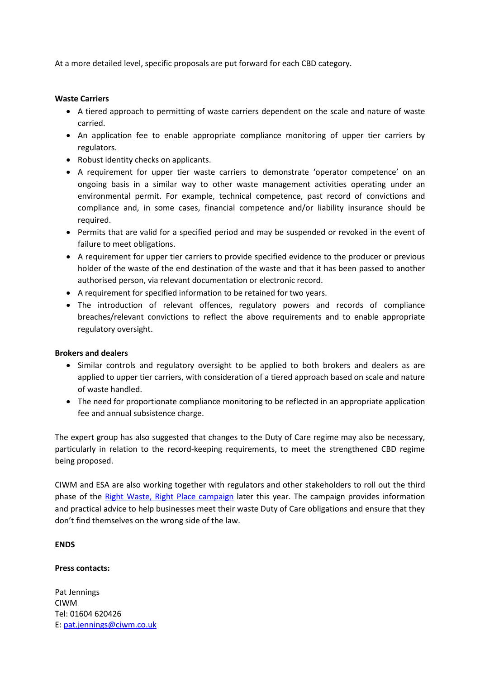At a more detailed level, specific proposals are put forward for each CBD category.

## **Waste Carriers**

- A tiered approach to permitting of waste carriers dependent on the scale and nature of waste carried.
- An application fee to enable appropriate compliance monitoring of upper tier carriers by regulators.
- Robust identity checks on applicants.
- A requirement for upper tier waste carriers to demonstrate 'operator competence' on an ongoing basis in a similar way to other waste management activities operating under an environmental permit. For example, technical competence, past record of convictions and compliance and, in some cases, financial competence and/or liability insurance should be required.
- Permits that are valid for a specified period and may be suspended or revoked in the event of failure to meet obligations.
- A requirement for upper tier carriers to provide specified evidence to the producer or previous holder of the waste of the end destination of the waste and that it has been passed to another authorised person, via relevant documentation or electronic record.
- A requirement for specified information to be retained for two years.
- The introduction of relevant offences, regulatory powers and records of compliance breaches/relevant convictions to reflect the above requirements and to enable appropriate regulatory oversight.

## **Brokers and dealers**

- Similar controls and regulatory oversight to be applied to both brokers and dealers as are applied to upper tier carriers, with consideration of a tiered approach based on scale and nature of waste handled.
- The need for proportionate compliance monitoring to be reflected in an appropriate application fee and annual subsistence charge.

The expert group has also suggested that changes to the Duty of Care regime may also be necessary, particularly in relation to the record-keeping requirements, to meet the strengthened CBD regime being proposed.

CIWM and ESA are also working together with regulators and other stakeholders to roll out the third phase of the [Right Waste, Right Place campaign](http://www.rightwasterightplace.com/) later this year. The campaign provides information and practical advice to help businesses meet their waste Duty of Care obligations and ensure that they don't find themselves on the wrong side of the law.

## **ENDS**

## **Press contacts:**

Pat Jennings CIWM Tel: 01604 620426 E: [pat.jennings@ciwm.co.uk](mailto:pat.jennings@ciwm.co.uk)